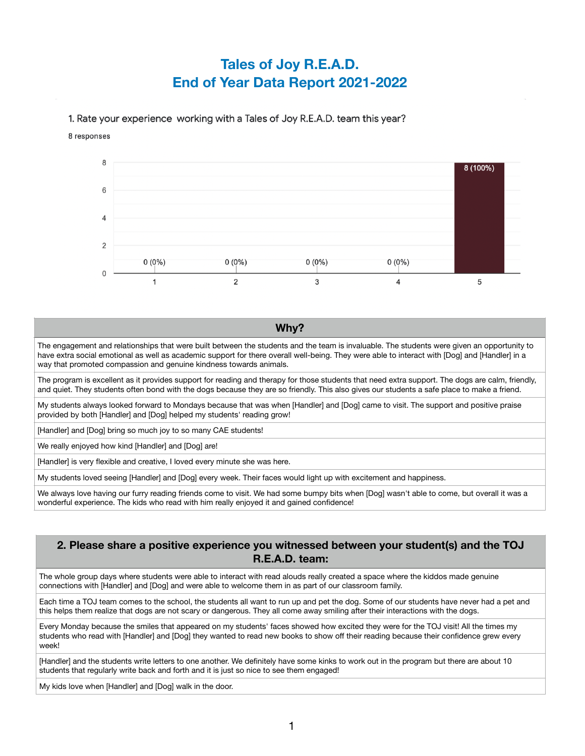# **Tales of Joy R.E.A.D. End of Year Data Report 2021-2022**

1. Rate your experience working with a Tales of Joy R.E.A.D. team this year?



#### **Why?**

The engagement and relationships that were built between the students and the team is invaluable. The students were given an opportunity to have extra social emotional as well as academic support for there overall well-being. They were able to interact with [Dog] and [Handler] in a way that promoted compassion and genuine kindness towards animals.

The program is excellent as it provides support for reading and therapy for those students that need extra support. The dogs are calm, friendly, and quiet. They students often bond with the dogs because they are so friendly. This also gives our students a safe place to make a friend.

My students always looked forward to Mondays because that was when [Handler] and [Dog] came to visit. The support and positive praise provided by both [Handler] and [Dog] helped my students' reading grow!

[Handler] and [Dog] bring so much joy to so many CAE students!

We really enjoyed how kind [Handler] and [Dog] are!

[Handler] is very flexible and creative, I loved every minute she was here.

My students loved seeing [Handler] and [Dog] every week. Their faces would light up with excitement and happiness.

We always love having our furry reading friends come to visit. We had some bumpy bits when [Dog] wasn't able to come, but overall it was a wonderful experience. The kids who read with him really enjoyed it and gained confidence!

### **2. Please share a positive experience you witnessed between your student(s) and the TOJ R.E.A.D. team:**

The whole group days where students were able to interact with read alouds really created a space where the kiddos made genuine connections with [Handler] and [Dog] and were able to welcome them in as part of our classroom family.

Each time a TOJ team comes to the school, the students all want to run up and pet the dog. Some of our students have never had a pet and this helps them realize that dogs are not scary or dangerous. They all come away smiling after their interactions with the dogs.

Every Monday because the smiles that appeared on my students' faces showed how excited they were for the TOJ visit! All the times my students who read with [Handler] and [Dog] they wanted to read new books to show off their reading because their confidence grew every week!

[Handler] and the students write letters to one another. We definitely have some kinks to work out in the program but there are about 10 students that regularly write back and forth and it is just so nice to see them engaged!

My kids love when [Handler] and [Dog] walk in the door.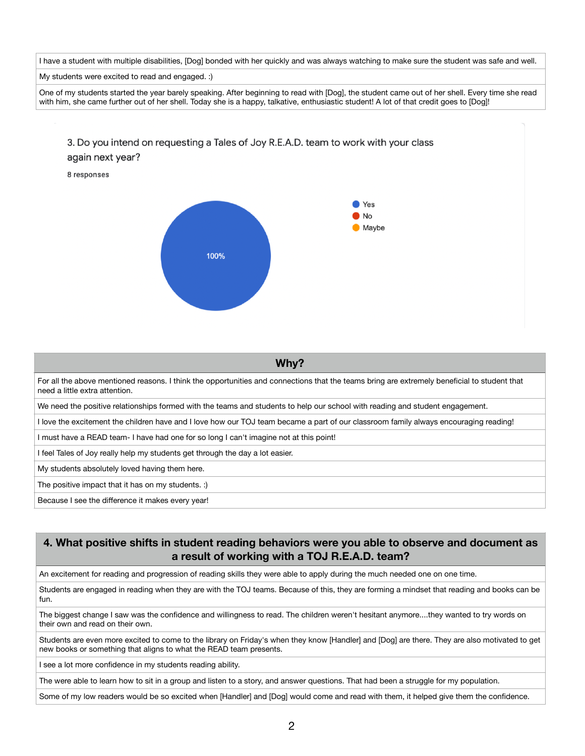I have a student with multiple disabilities, [Dog] bonded with her quickly and was always watching to make sure the student was safe and well.

My students were excited to read and engaged. :)

One of my students started the year barely speaking. After beginning to read with [Dog], the student came out of her shell. Every time she read with him, she came further out of her shell. Today she is a happy, talkative, enthusiastic student! A lot of that credit goes to [Dog]!

# 3. Do you intend on requesting a Tales of Joy R.E.A.D. team to work with your class again next year?

8 responses



**Why?**

For all the above mentioned reasons. I think the opportunities and connections that the teams bring are extremely beneficial to student that need a little extra attention.

We need the positive relationships formed with the teams and students to help our school with reading and student engagement.

I love the excitement the children have and I love how our TOJ team became a part of our classroom family always encouraging reading!

I must have a READ team- I have had one for so long I can't imagine not at this point!

I feel Tales of Joy really help my students get through the day a lot easier.

My students absolutely loved having them here.

The positive impact that it has on my students. :)

Because I see the difference it makes every year!

# **4. What positive shifts in student reading behaviors were you able to observe and document as a result of working with a TOJ R.E.A.D. team?**

An excitement for reading and progression of reading skills they were able to apply during the much needed one on one time.

Students are engaged in reading when they are with the TOJ teams. Because of this, they are forming a mindset that reading and books can be fun.

The biggest change I saw was the confidence and willingness to read. The children weren't hesitant anymore....they wanted to try words on their own and read on their own.

Students are even more excited to come to the library on Friday's when they know [Handler] and [Dog] are there. They are also motivated to get new books or something that aligns to what the READ team presents.

I see a lot more confidence in my students reading ability.

The were able to learn how to sit in a group and listen to a story, and answer questions. That had been a struggle for my population.

Some of my low readers would be so excited when [Handler] and [Dog] would come and read with them, it helped give them the confidence.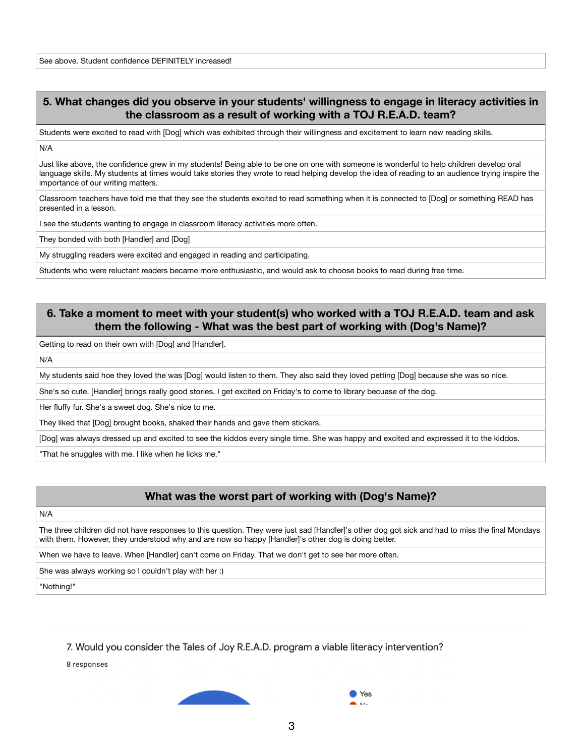# **5. What changes did you observe in your students' willingness to engage in literacy activities in the classroom as a result of working with a TOJ R.E.A.D. team?**

Students were excited to read with [Dog] which was exhibited through their willingness and excitement to learn new reading skills.

N/A

Just like above, the confidence grew in my students! Being able to be one on one with someone is wonderful to help children develop oral language skills. My students at times would take stories they wrote to read helping develop the idea of reading to an audience trying inspire the importance of our writing matters.

Classroom teachers have told me that they see the students excited to read something when it is connected to [Dog] or something READ has presented in a lesson.

I see the students wanting to engage in classroom literacy activities more often.

They bonded with both [Handler] and [Dog]

My struggling readers were excited and engaged in reading and participating.

Students who were reluctant readers became more enthusiastic, and would ask to choose books to read during free time.

# **6. Take a moment to meet with your student(s) who worked with a TOJ R.E.A.D. team and ask them the following - What was the best part of working with (Dog's Name)?**

Getting to read on their own with [Dog] and [Handler].

N/A

My students said hoe they loved the was [Dog] would listen to them. They also said they loved petting [Dog] because she was so nice.

She's so cute. [Handler] brings really good stories. I get excited on Friday's to come to library becuase of the dog.

Her fluffy fur. She's a sweet dog. She's nice to me.

They liked that [Dog] brought books, shaked their hands and gave them stickers.

[Dog] was always dressed up and excited to see the kiddos every single time. She was happy and excited and expressed it to the kiddos.

"That he snuggles with me. I like when he licks me."

#### **What was the worst part of working with (Dog's Name)?**

#### N/A

The three children did not have responses to this question. They were just sad [Handler]'s other dog got sick and had to miss the final Mondays with them. However, they understood why and are now so happy [Handler]'s other dog is doing better.

When we have to leave. When [Handler] can't come on Friday. That we don't get to see her more often.

She was always working so I couldn't play with her :)

"Nothing!"

7. Would you consider the Tales of Joy R.E.A.D. program a viable literacy intervention?

8 responses